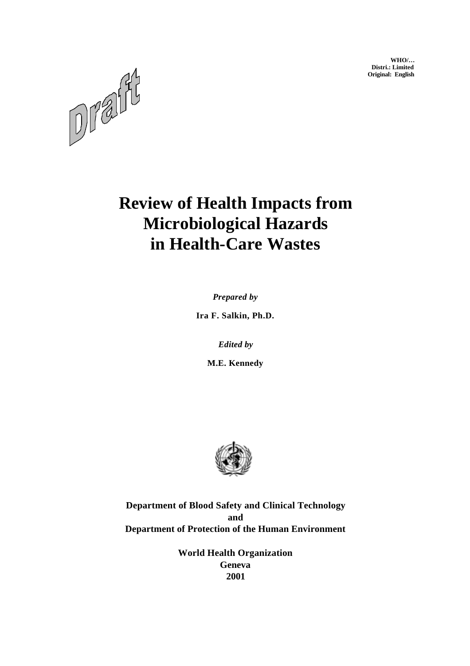**WHO/… Distri.: Limited Original: English**



# **Review of Health Impacts from Microbiological Hazards in Health-Care Wastes**

*Prepared by*

**Ira F. Salkin, Ph.D.**

*Edited by*

**M.E. Kennedy**



**Department of Blood Safety and Clinical Technology and Department of Protection of the Human Environment**

> **World Health Organization Geneva 2001**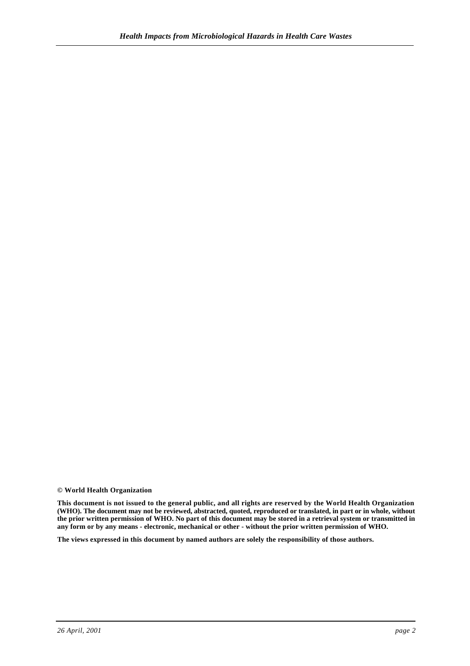**© World Health Organization**

**This document is not issued to the general public, and all rights are reserved by the World Health Organization (WHO). The document may not be reviewed, abstracted, quoted, reproduced or translated, in part or in whole, without the prior written permission of WHO. No part of this document may be stored in a retrieval system or transmitted in any form or by any means - electronic, mechanical or other - without the prior written permission of WHO.**

**The views expressed in this document by named authors are solely the responsibility of those authors.**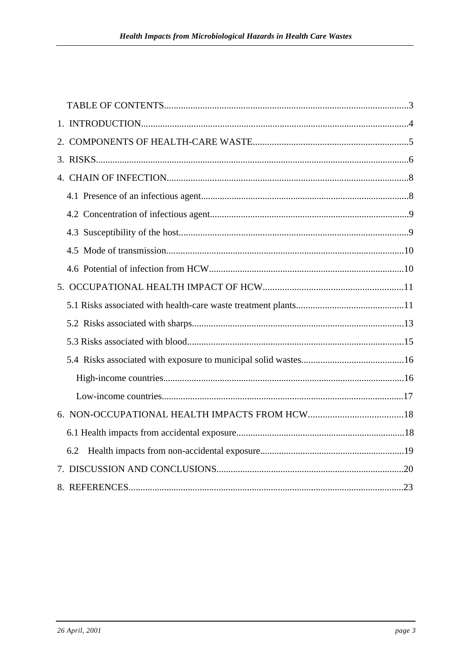| 6.2 |  |
|-----|--|
|     |  |
|     |  |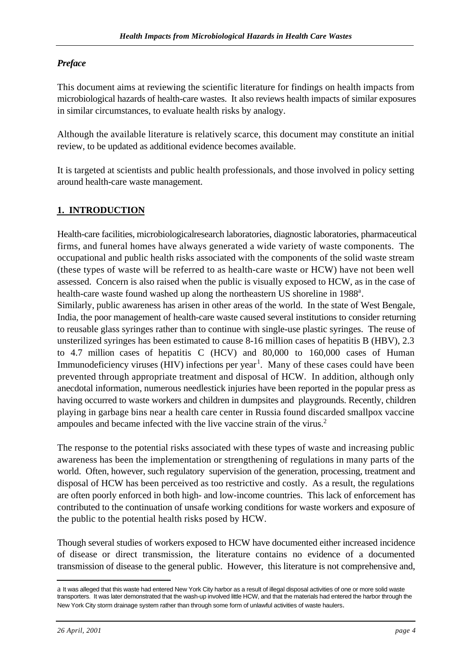## *Preface*

This document aims at reviewing the scientific literature for findings on health impacts from microbiological hazards of health-care wastes. It also reviews health impacts of similar exposures in similar circumstances, to evaluate health risks by analogy.

Although the available literature is relatively scarce, this document may constitute an initial review, to be updated as additional evidence becomes available.

It is targeted at scientists and public health professionals, and those involved in policy setting around health-care waste management.

## **1. INTRODUCTION**

Health-care facilities, microbiological research laboratories, diagnostic laboratories, pharmaceutical firms, and funeral homes have always generated a wide variety of waste components. The occupational and public health risks associated with the components of the solid waste stream (these types of waste will be referred to as health-care waste or HCW) have not been well assessed. Concern is also raised when the public is visually exposed to HCW, as in the case of health-care waste found washed up along the northeastern US shoreline in 1988<sup>a</sup>.

Similarly, public awareness has arisen in other areas of the world. In the state of West Bengale, India, the poor management of health-care waste caused several institutions to consider returning to reusable glass syringes rather than to continue with single-use plastic syringes. The reuse of unsterilized syringes has been estimated to cause 8-16 million cases of hepatitis B (HBV), 2.3 to 4.7 million cases of hepatitis C (HCV) and 80,000 to 160,000 cases of Human Immunodeficiency viruses (HIV) infections per year<sup>1</sup>. Many of these cases could have been prevented through appropriate treatment and disposal of HCW. In addition, although only anecdotal information, numerous needlestick injuries have been reported in the popular press as having occurred to waste workers and children in dumpsites and playgrounds. Recently, children playing in garbage bins near a health care center in Russia found discarded smallpox vaccine ampoules and became infected with the live vaccine strain of the virus.<sup>2</sup>

The response to the potential risks associated with these types of waste and increasing public awareness has been the implementation or strengthening of regulations in many parts of the world. Often, however, such regulatory supervision of the generation, processing, treatment and disposal of HCW has been perceived as too restrictive and costly. As a result, the regulations are often poorly enforced in both high- and low-income countries. This lack of enforcement has contributed to the continuation of unsafe working conditions for waste workers and exposure of the public to the potential health risks posed by HCW.

Though several studies of workers exposed to HCW have documented either increased incidence of disease or direct transmission, the literature contains no evidence of a documented transmission of disease to the general public. However, this literature is not comprehensive and,

l

a It was alleged that this waste had entered New York City harbor as a result of illegal disposal activities of one or more solid waste transporters. It was later demonstrated that the wash-up involved little HCW, and that the materials had entered the harbor through the New York City storm drainage system rather than through some form of unlawful activities of waste haulers.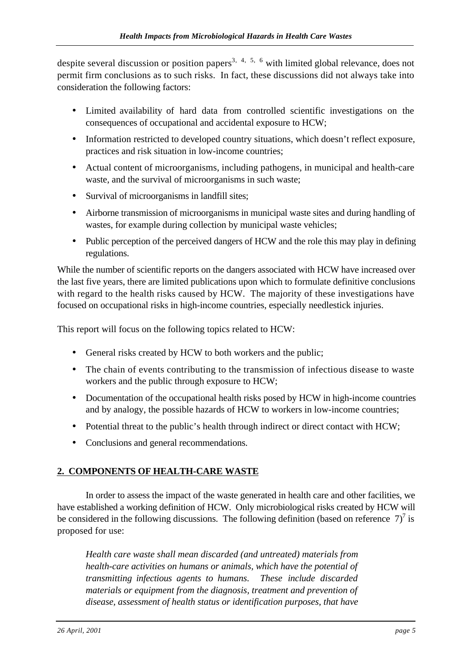despite several discussion or position papers<sup>3, 4, 5, 6</sup> with limited global relevance, does not permit firm conclusions as to such risks. In fact, these discussions did not always take into consideration the following factors:

- Limited availability of hard data from controlled scientific investigations on the consequences of occupational and accidental exposure to HCW;
- Information restricted to developed country situations, which doesn't reflect exposure, practices and risk situation in low-income countries;
- Actual content of microorganisms, including pathogens, in municipal and health-care waste, and the survival of microorganisms in such waste;
- Survival of microorganisms in landfill sites;
- Airborne transmission of microorganisms in municipal waste sites and during handling of wastes, for example during collection by municipal waste vehicles;
- Public perception of the perceived dangers of HCW and the role this may play in defining regulations.

While the number of scientific reports on the dangers associated with HCW have increased over the last five years, there are limited publications upon which to formulate definitive conclusions with regard to the health risks caused by HCW. The majority of these investigations have focused on occupational risks in high-income countries, especially needlestick injuries.

This report will focus on the following topics related to HCW:

- General risks created by HCW to both workers and the public;
- The chain of events contributing to the transmission of infectious disease to waste workers and the public through exposure to HCW;
- Documentation of the occupational health risks posed by HCW in high-income countries and by analogy, the possible hazards of HCW to workers in low-income countries;
- Potential threat to the public's health through indirect or direct contact with HCW;
- Conclusions and general recommendations.

## **2. COMPONENTS OF HEALTH-CARE WASTE**

In order to assess the impact of the waste generated in health care and other facilities, we have established a working definition of HCW. Only microbiological risks created by HCW will be considered in the following discussions. The following definition (based on reference  $7$ )<sup>7</sup> is proposed for use:

*Health care waste shall mean discarded (and untreated) materials from health-care activities on humans or animals, which have the potential of transmitting infectious agents to humans. These include discarded materials or equipment from the diagnosis, treatment and prevention of disease, assessment of health status or identification purposes, that have*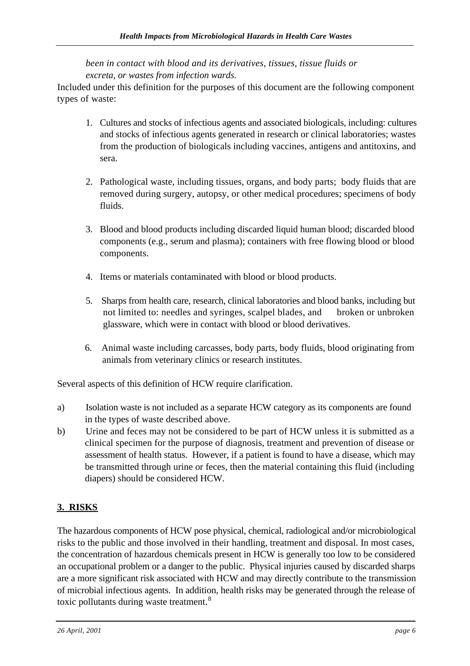*been in contact with blood and its derivatives, tissues, tissue fluids or excreta, or wastes from infection wards.*

Included under this definition for the purposes of this document are the following component types of waste:

- 1. Cultures and stocks of infectious agents and associated biologicals, including: cultures and stocks of infectious agents generated in research or clinical laboratories; wastes from the production of biologicals including vaccines, antigens and antitoxins, and sera.
- 2. Pathological waste, including tissues, organs, and body parts; body fluids that are removed during surgery, autopsy, or other medical procedures; specimens of body fluids.
- 3. Blood and blood products including discarded liquid human blood; discarded blood components (e.g., serum and plasma); containers with free flowing blood or blood components.
- 4. Items or materials contaminated with blood or blood products.
- 5. Sharps from health care, research, clinical laboratories and blood banks, including but not limited to: needles and syringes, scalpel blades, and broken or unbroken glassware, which were in contact with blood or blood derivatives.
- 6. Animal waste including carcasses, body parts, body fluids, blood originating from animals from veterinary clinics or research institutes.

Several aspects of this definition of HCW require clarification.

- a) Isolation waste is not included as a separate HCW category as its components are found in the types of waste described above.
- b) Urine and feces may not be considered to be part of HCW unless it is submitted as a clinical specimen for the purpose of diagnosis, treatment and prevention of disease or assessment of health status. However, if a patient is found to have a disease, which may be transmitted through urine or feces, then the material containing this fluid (including diapers) should be considered HCW.

## **3. RISKS**

The hazardous components of HCW pose physical, chemical, radiological and/or microbiological risks to the public and those involved in their handling, treatment and disposal. In most cases, the concentration of hazardous chemicals present in HCW is generally too low to be considered an occupational problem or a danger to the public. Physical injuries caused by discarded sharps are a more significant risk associated with HCW and may directly contribute to the transmission of microbial infectious agents. In addition, health risks may be generated through the release of toxic pollutants during waste treatment.<sup>8</sup>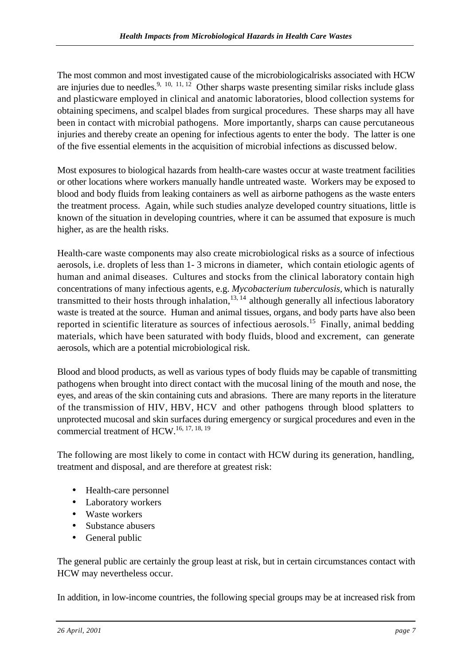The most common and most investigated cause of the microbiological risks associated with HCW are injuries due to needles.<sup>9, 10, 11, 12</sup> Other sharps waste presenting similar risks include glass and plasticware employed in clinical and anatomic laboratories, blood collection systems for obtaining specimens, and scalpel blades from surgical procedures. These sharps may all have been in contact with microbial pathogens. More importantly, sharps can cause percutaneous injuries and thereby create an opening for infectious agents to enter the body. The latter is one of the five essential elements in the acquisition of microbial infections as discussed below.

Most exposures to biological hazards from health-care wastes occur at waste treatment facilities or other locations where workers manually handle untreated waste. Workers may be exposed to blood and body fluids from leaking containers as well as airborne pathogens as the waste enters the treatment process. Again, while such studies analyze developed country situations, little is known of the situation in developing countries, where it can be assumed that exposure is much higher, as are the health risks.

Health-care waste components may also create microbiological risks as a source of infectious aerosols, i.e. droplets of less than 1- 3 microns in diameter, which contain etiologic agents of human and animal diseases. Cultures and stocks from the clinical laboratory contain high concentrations of many infectious agents, e.g. *Mycobacterium tuberculosis,* which is naturally transmitted to their hosts through inhalation,  $13, 14$  although generally all infectious laboratory waste is treated at the source. Human and animal tissues, organs, and body parts have also been reported in scientific literature as sources of infectious aerosols.<sup>15</sup> Finally, animal bedding materials, which have been saturated with body fluids, blood and excrement, can generate aerosols, which are a potential microbiological risk.

Blood and blood products, as well as various types of body fluids may be capable of transmitting pathogens when brought into direct contact with the mucosal lining of the mouth and nose, the eyes, and areas of the skin containing cuts and abrasions. There are many reports in the literature of the transmission of HIV, HBV, HCV and other pathogens through blood splatters to unprotected mucosal and skin surfaces during emergency or surgical procedures and even in the commercial treatment of HCW.16, 17, 18, 19

The following are most likely to come in contact with HCW during its generation, handling, treatment and disposal, and are therefore at greatest risk:

- Health-care personnel
- Laboratory workers
- Waste workers
- Substance abusers
- General public

The general public are certainly the group least at risk, but in certain circumstances contact with HCW may nevertheless occur.

In addition, in low-income countries, the following special groups may be at increased risk from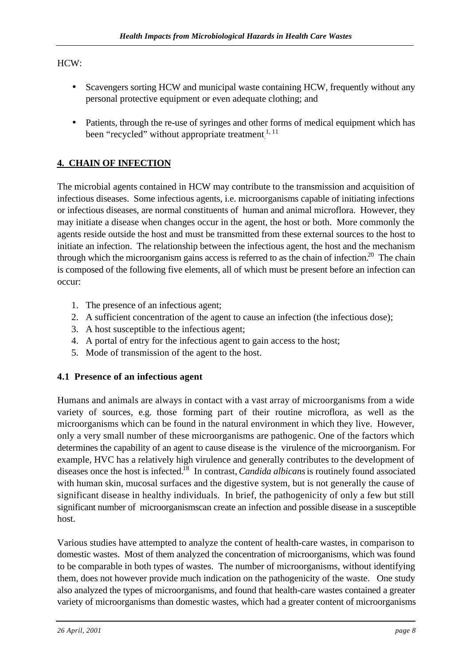## HCW:

- Scavengers sorting HCW and municipal waste containing HCW, frequently without any personal protective equipment or even adequate clothing; and
- Patients, through the re-use of syringes and other forms of medical equipment which has been "recycled" without appropriate treatment.<sup>1, 11</sup>

# **4. CHAIN OF INFECTION**

The microbial agents contained in HCW may contribute to the transmission and acquisition of infectious diseases. Some infectious agents, i.e. microorganisms capable of initiating infections or infectious diseases, are normal constituents of human and animal microflora. However, they may initiate a disease when changes occur in the agent, the host or both. More commonly the agents reside outside the host and must be transmitted from these external sources to the host to initiate an infection. The relationship between the infectious agent, the host and the mechanism through which the microorganism gains access is referred to as the chain of infection.<sup>20</sup> The chain is composed of the following five elements, all of which must be present before an infection can occur:

- 1. The presence of an infectious agent;
- 2. A sufficient concentration of the agent to cause an infection (the infectious dose);
- 3. A host susceptible to the infectious agent;
- 4. A portal of entry for the infectious agent to gain access to the host;
- 5. Mode of transmission of the agent to the host.

## **4.1 Presence of an infectious agent**

Humans and animals are always in contact with a vast array of microorganisms from a wide variety of sources, e.g. those forming part of their routine microflora, as well as the microorganisms which can be found in the natural environment in which they live. However, only a very small number of these microorganisms are pathogenic. One of the factors which determines the capability of an agent to cause disease is the virulence of the microorganism. For example, HVC has a relatively high virulence and generally contributes to the development of diseases once the host is infected.<sup>18</sup> In contrast, *Candida albicans* is routinely found associated with human skin, mucosal surfaces and the digestive system, but is not generally the cause of significant disease in healthy individuals. In brief, the pathogenicity of only a few but still significant number of microorganisms can create an infection and possible disease in a susceptible host.

Various studies have attempted to analyze the content of health-care wastes, in comparison to domestic wastes. Most of them analyzed the concentration of microorganisms, which was found to be comparable in both types of wastes. The number of microorganisms, without identifying them, does not however provide much indication on the pathogenicity of the waste. One study also analyzed the types of microorganisms, and found that health-care wastes contained a greater variety of microorganisms than domestic wastes, which had a greater content of microorganisms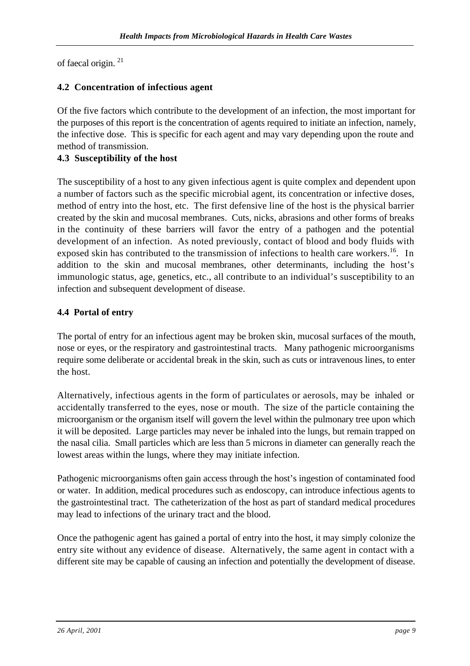of faecal origin. <sup>21</sup>

## **4.2 Concentration of infectious agent**

Of the five factors which contribute to the development of an infection, the most important for the purposes of this report is the concentration of agents required to initiate an infection, namely, the infective dose. This is specific for each agent and may vary depending upon the route and method of transmission.

## **4.3 Susceptibility of the host**

The susceptibility of a host to any given infectious agent is quite complex and dependent upon a number of factors such as the specific microbial agent, its concentration or infective doses, method of entry into the host, etc. The first defensive line of the host is the physical barrier created by the skin and mucosal membranes. Cuts, nicks, abrasions and other forms of breaks in the continuity of these barriers will favor the entry of a pathogen and the potential development of an infection. As noted previously, contact of blood and body fluids with exposed skin has contributed to the transmission of infections to health care workers.<sup>16</sup>. In addition to the skin and mucosal membranes, other determinants, including the host's immunologic status, age, genetics, etc., all contribute to an individual's susceptibility to an infection and subsequent development of disease.

## **4.4 Portal of entry**

The portal of entry for an infectious agent may be broken skin, mucosal surfaces of the mouth, nose or eyes, or the respiratory and gastrointestinal tracts. Many pathogenic microorganisms require some deliberate or accidental break in the skin, such as cuts or intravenous lines, to enter the host.

Alternatively, infectious agents in the form of particulates or aerosols, may be inhaled or accidentally transferred to the eyes, nose or mouth. The size of the particle containing the microorganism or the organism itself will govern the level within the pulmonary tree upon which it will be deposited. Large particles may never be inhaled into the lungs, but remain trapped on the nasal cilia. Small particles which are less than 5 microns in diameter can generally reach the lowest areas within the lungs, where they may initiate infection.

Pathogenic microorganisms often gain access through the host's ingestion of contaminated food or water. In addition, medical procedures such as endoscopy, can introduce infectious agents to the gastrointestinal tract. The catheterization of the host as part of standard medical procedures may lead to infections of the urinary tract and the blood.

Once the pathogenic agent has gained a portal of entry into the host, it may simply colonize the entry site without any evidence of disease. Alternatively, the same agent in contact with a different site may be capable of causing an infection and potentially the development of disease.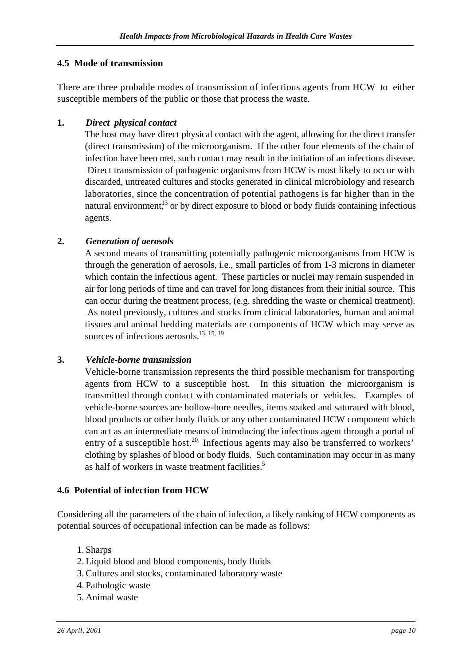## **4.5 Mode of transmission**

There are three probable modes of transmission of infectious agents from HCW to either susceptible members of the public or those that process the waste.

#### **1.** *Direct physical contact*

The host may have direct physical contact with the agent, allowing for the direct transfer (direct transmission) of the microorganism. If the other four elements of the chain of infection have been met, such contact may result in the initiation of an infectious disease. Direct transmission of pathogenic organisms from HCW is most likely to occur with discarded, untreated cultures and stocks generated in clinical microbiology and research laboratories, since the concentration of potential pathogens is far higher than in the natural environment,<sup>13</sup> or by direct exposure to blood or body fluids containing infectious agents.

#### **2.** *Generation of aerosols*

A second means of transmitting potentially pathogenic microorganisms from HCW is through the generation of aerosols, i.e., small particles of from 1-3 microns in diameter which contain the infectious agent. These particles or nuclei may remain suspended in air for long periods of time and can travel for long distances from their initial source. This can occur during the treatment process, (e.g. shredding the waste or chemical treatment). As noted previously, cultures and stocks from clinical laboratories, human and animal tissues and animal bedding materials are components of HCW which may serve as sources of infectious aerosols.<sup>13, 15, 19</sup>

#### **3.** *Vehicle-borne transmission*

Vehicle-borne transmission represents the third possible mechanism for transporting agents from HCW to a susceptible host. In this situation the microorganism is transmitted through contact with contaminated materials or vehicles. Examples of vehicle-borne sources are hollow-bore needles, items soaked and saturated with blood, blood products or other body fluids or any other contaminated HCW component which can act as an intermediate means of introducing the infectious agent through a portal of entry of a susceptible host.<sup>20</sup> Infectious agents may also be transferred to workers' clothing by splashes of blood or body fluids. Such contamination may occur in as many as half of workers in waste treatment facilities.<sup>5</sup>

#### **4.6 Potential of infection from HCW**

Considering all the parameters of the chain of infection, a likely ranking of HCW components as potential sources of occupational infection can be made as follows:

- 1. Sharps
- 2. Liquid blood and blood components, body fluids
- 3.Cultures and stocks, contaminated laboratory waste
- 4. Pathologic waste
- 5. Animal waste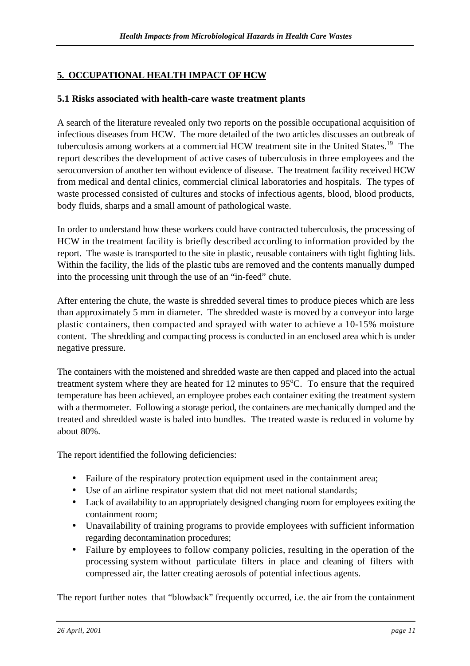## **5. OCCUPATIONAL HEALTH IMPACT OF HCW**

## **5.1 Risks associated with health-care waste treatment plants**

A search of the literature revealed only two reports on the possible occupational acquisition of infectious diseases from HCW. The more detailed of the two articles discusses an outbreak of tuberculosis among workers at a commercial HCW treatment site in the United States.<sup>19</sup> The report describes the development of active cases of tuberculosis in three employees and the seroconversion of another ten without evidence of disease. The treatment facility received HCW from medical and dental clinics, commercial clinical laboratories and hospitals. The types of waste processed consisted of cultures and stocks of infectious agents, blood, blood products, body fluids, sharps and a small amount of pathological waste.

In order to understand how these workers could have contracted tuberculosis, the processing of HCW in the treatment facility is briefly described according to information provided by the report. The waste is transported to the site in plastic, reusable containers with tight fighting lids. Within the facility, the lids of the plastic tubs are removed and the contents manually dumped into the processing unit through the use of an "in-feed" chute.

After entering the chute, the waste is shredded several times to produce pieces which are less than approximately 5 mm in diameter. The shredded waste is moved by a conveyor into large plastic containers, then compacted and sprayed with water to achieve a 10-15% moisture content. The shredding and compacting process is conducted in an enclosed area which is under negative pressure.

The containers with the moistened and shredded waste are then capped and placed into the actual treatment system where they are heated for 12 minutes to  $95^{\circ}$ C. To ensure that the required temperature has been achieved, an employee probes each container exiting the treatment system with a thermometer. Following a storage period, the containers are mechanically dumped and the treated and shredded waste is baled into bundles. The treated waste is reduced in volume by about 80%.

The report identified the following deficiencies:

- Failure of the respiratory protection equipment used in the containment area;
- Use of an airline respirator system that did not meet national standards;
- Lack of availability to an appropriately designed changing room for employees exiting the containment room;
- Unavailability of training programs to provide employees with sufficient information regarding decontamination procedures;
- Failure by employees to follow company policies, resulting in the operation of the processing system without particulate filters in place and cleaning of filters with compressed air, the latter creating aerosols of potential infectious agents.

The report further notes that "blowback" frequently occurred, i.e. the air from the containment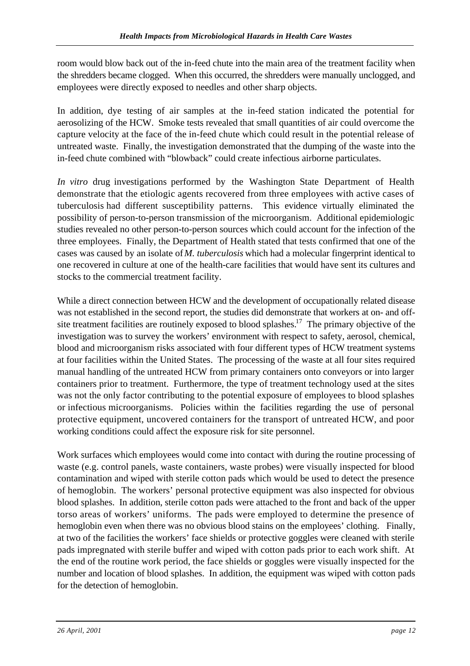room would blow back out of the in-feed chute into the main area of the treatment facility when the shredders became clogged. When this occurred, the shredders were manually unclogged, and employees were directly exposed to needles and other sharp objects.

In addition, dye testing of air samples at the in-feed station indicated the potential for aerosolizing of the HCW. Smoke tests revealed that small quantities of air could overcome the capture velocity at the face of the in-feed chute which could result in the potential release of untreated waste. Finally, the investigation demonstrated that the dumping of the waste into the in-feed chute combined with "blowback" could create infectious airborne particulates.

*In vitro* drug investigations performed by the Washington State Department of Health demonstrate that the etiologic agents recovered from three employees with active cases of tuberculosis had different susceptibility patterns. This evidence virtually eliminated the possibility of person-to-person transmission of the microorganism. Additional epidemiologic studies revealed no other person-to-person sources which could account for the infection of the three employees. Finally, the Department of Health stated that tests confirmed that one of the cases was caused by an isolate of *M. tuberculosis* which had a molecular fingerprint identical to one recovered in culture at one of the health-care facilities that would have sent its cultures and stocks to the commercial treatment facility.

While a direct connection between HCW and the development of occupationally related disease was not established in the second report, the studies did demonstrate that workers at on- and offsite treatment facilities are routinely exposed to blood splashes.<sup>17</sup> The primary objective of the investigation was to survey the workers' environment with respect to safety, aerosol, chemical, blood and microorganism risks associated with four different types of HCW treatment systems at four facilities within the United States. The processing of the waste at all four sites required manual handling of the untreated HCW from primary containers onto conveyors or into larger containers prior to treatment. Furthermore, the type of treatment technology used at the sites was not the only factor contributing to the potential exposure of employees to blood splashes or infectious microorganisms. Policies within the facilities regarding the use of personal protective equipment, uncovered containers for the transport of untreated HCW, and poor working conditions could affect the exposure risk for site personnel.

Work surfaces which employees would come into contact with during the routine processing of waste (e.g. control panels, waste containers, waste probes) were visually inspected for blood contamination and wiped with sterile cotton pads which would be used to detect the presence of hemoglobin. The workers' personal protective equipment was also inspected for obvious blood splashes. In addition, sterile cotton pads were attached to the front and back of the upper torso areas of workers' uniforms. The pads were employed to determine the presence of hemoglobin even when there was no obvious blood stains on the employees' clothing. Finally, at two of the facilities the workers' face shields or protective goggles were cleaned with sterile pads impregnated with sterile buffer and wiped with cotton pads prior to each work shift. At the end of the routine work period, the face shields or goggles were visually inspected for the number and location of blood splashes. In addition, the equipment was wiped with cotton pads for the detection of hemoglobin.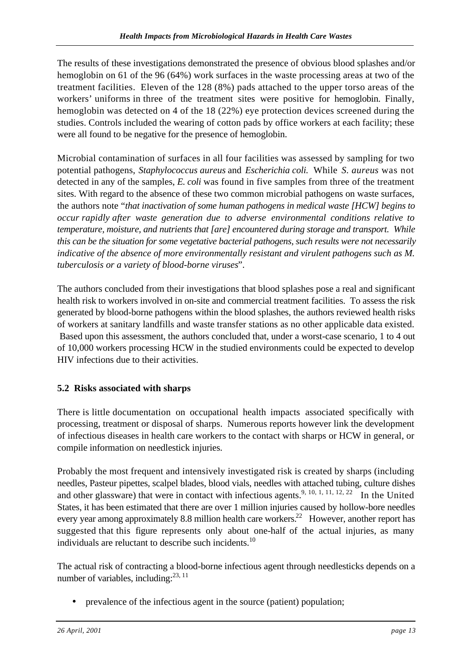The results of these investigations demonstrated the presence of obvious blood splashes and/or hemoglobin on 61 of the 96 (64%) work surfaces in the waste processing areas at two of the treatment facilities. Eleven of the 128 (8%) pads attached to the upper torso areas of the workers' uniforms in three of the treatment sites were positive for hemoglobin. Finally, hemoglobin was detected on 4 of the 18 (22%) eye protection devices screened during the studies. Controls included the wearing of cotton pads by office workers at each facility; these were all found to be negative for the presence of hemoglobin.

Microbial contamination of surfaces in all four facilities was assessed by sampling for two potential pathogens, *Staphylococcus aureus* and *Escherichia coli.* While *S. aureus* was not detected in any of the samples, *E. coli* was found in five samples from three of the treatment sites. With regard to the absence of these two common microbial pathogens on waste surfaces, the authors note "*that inactivation of some human pathogens in medical waste [HCW] begins to occur rapidly after waste generation due to adverse environmental conditions relative to temperature, moisture, and nutrients that [are] encountered during storage and transport. While this can be the situation for some vegetative bacterial pathogens, such results were not necessarily indicative of the absence of more environmentally resistant and virulent pathogens such as M. tuberculosis or a variety of blood-borne viruses*".

The authors concluded from their investigations that blood splashes pose a real and significant health risk to workers involved in on-site and commercial treatment facilities. To assess the risk generated by blood-borne pathogens within the blood splashes, the authors reviewed health risks of workers at sanitary landfills and waste transfer stations as no other applicable data existed. Based upon this assessment, the authors concluded that, under a worst-case scenario, 1 to 4 out of 10,000 workers processing HCW in the studied environments could be expected to develop HIV infections due to their activities.

## **5.2 Risks associated with sharps**

There is little documentation on occupational health impacts associated specifically with processing, treatment or disposal of sharps. Numerous reports however link the development of infectious diseases in health care workers to the contact with sharps or HCW in general, or compile information on needlestick injuries.

Probably the most frequent and intensively investigated risk is created by sharps (including needles, Pasteur pipettes, scalpel blades, blood vials, needles with attached tubing, culture dishes and other glassware) that were in contact with infectious agents.<sup>9, 10, 1, 11, 12, 22</sup> In the United States, it has been estimated that there are over 1 million injuries caused by hollow-bore needles every year among approximately 8.8 million health care workers.<sup>22</sup> However, another report has suggested that this figure represents only about one-half of the actual injuries, as many individuals are reluctant to describe such incidents.<sup>10</sup>

The actual risk of contracting a blood-borne infectious agent through needlesticks depends on a number of variables, including: $^{23, 11}$ 

• prevalence of the infectious agent in the source (patient) population;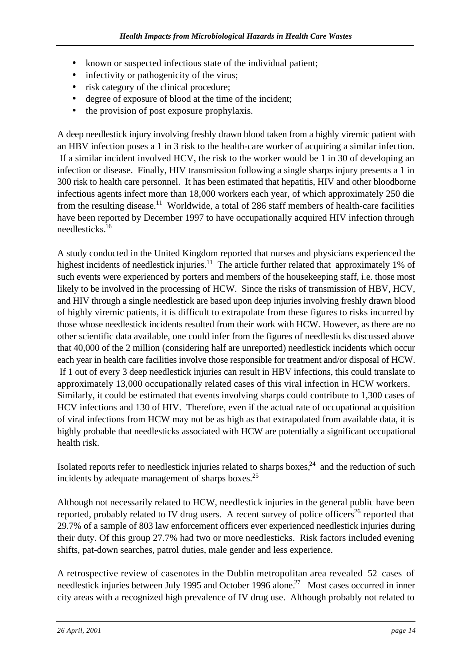- known or suspected infectious state of the individual patient;
- infectivity or pathogenicity of the virus;
- risk category of the clinical procedure;
- degree of exposure of blood at the time of the incident;
- the provision of post exposure prophylaxis.

A deep needlestick injury involving freshly drawn blood taken from a highly viremic patient with an HBV infection poses a 1 in 3 risk to the health-care worker of acquiring a similar infection. If a similar incident involved HCV, the risk to the worker would be 1 in 30 of developing an infection or disease. Finally, HIV transmission following a single sharps injury presents a 1 in 300 risk to health care personnel. It has been estimated that hepatitis, HIV and other bloodborne infectious agents infect more than 18,000 workers each year, of which approximately 250 die from the resulting disease.<sup>11</sup> Worldwide, a total of 286 staff members of health-care facilities have been reported by December 1997 to have occupationally acquired HIV infection through needlesticks.<sup>16</sup>

A study conducted in the United Kingdom reported that nurses and physicians experienced the highest incidents of needlestick injuries.<sup>11</sup> The article further related that approximately 1% of such events were experienced by porters and members of the housekeeping staff, i.e. those most likely to be involved in the processing of HCW. Since the risks of transmission of HBV, HCV, and HIV through a single needlestick are based upon deep injuries involving freshly drawn blood of highly viremic patients, it is difficult to extrapolate from these figures to risks incurred by those whose needlestick incidents resulted from their work with HCW. However, as there are no other scientific data available, one could infer from the figures of needlesticks discussed above that 40,000 of the 2 million (considering half are unreported) needlestick incidents which occur each year in health care facilities involve those responsible for treatment and/or disposal of HCW. If 1 out of every 3 deep needlestick injuries can result in HBV infections, this could translate to approximately 13,000 occupationally related cases of this viral infection in HCW workers. Similarly, it could be estimated that events involving sharps could contribute to 1,300 cases of HCV infections and 130 of HIV. Therefore, even if the actual rate of occupational acquisition of viral infections from HCW may not be as high as that extrapolated from available data, it is highly probable that needlesticks associated with HCW are potentially a significant occupational health risk.

Isolated reports refer to needlestick injuries related to sharps boxes, $24$  and the reduction of such incidents by adequate management of sharps boxes.<sup>25</sup>

Although not necessarily related to HCW, needlestick injuries in the general public have been reported, probably related to IV drug users. A recent survey of police officers<sup>26</sup> reported that 29.7% of a sample of 803 law enforcement officers ever experienced needlestick injuries during their duty. Of this group 27.7% had two or more needlesticks. Risk factors included evening shifts, pat-down searches, patrol duties, male gender and less experience.

A retrospective review of casenotes in the Dublin metropolitan area revealed 52 cases of needlestick injuries between July 1995 and October 1996 alone.<sup>27</sup> Most cases occurred in inner city areas with a recognized high prevalence of IV drug use. Although probably not related to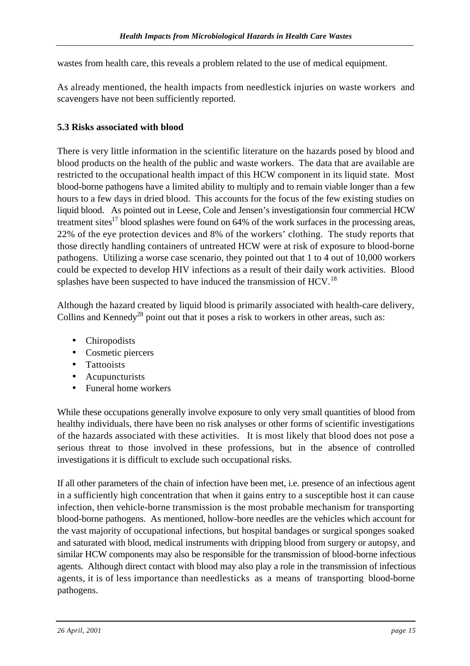wastes from health care, this reveals a problem related to the use of medical equipment.

As already mentioned, the health impacts from needlestick injuries on waste workers and scavengers have not been sufficiently reported.

#### **5.3 Risks associated with blood**

There is very little information in the scientific literature on the hazards posed by blood and blood products on the health of the public and waste workers. The data that are available are restricted to the occupational health impact of this HCW component in its liquid state. Most blood-borne pathogens have a limited ability to multiply and to remain viable longer than a few hours to a few days in dried blood. This accounts for the focus of the few existing studies on liquid blood. As pointed out in Leese, Cole and Jensen's investigations in four commercial HCW treatment sites<sup>17</sup> blood splashes were found on  $64\%$  of the work surfaces in the processing areas, 22% of the eye protection devices and 8% of the workers' clothing. The study reports that those directly handling containers of untreated HCW were at risk of exposure to blood-borne pathogens. Utilizing a worse case scenario, they pointed out that 1 to 4 out of 10,000 workers could be expected to develop HIV infections as a result of their daily work activities. Blood splashes have been suspected to have induced the transmission of HCV.<sup>18</sup>

Although the hazard created by liquid blood is primarily associated with health-care delivery, Collins and Kennedy<sup>28</sup> point out that it poses a risk to workers in other areas, such as:

- Chiropodists
- Cosmetic piercers
- Tattooists
- Acupuncturists
- Funeral home workers

While these occupations generally involve exposure to only very small quantities of blood from healthy individuals, there have been no risk analyses or other forms of scientific investigations of the hazards associated with these activities. It is most likely that blood does not pose a serious threat to those involved in these professions, but in the absence of controlled investigations it is difficult to exclude such occupational risks.

If all other parameters of the chain of infection have been met, i.e. presence of an infectious agent in a sufficiently high concentration that when it gains entry to a susceptible host it can cause infection, then vehicle-borne transmission is the most probable mechanism for transporting blood-borne pathogens. As mentioned, hollow-bore needles are the vehicles which account for the vast majority of occupational infections, but hospital bandages or surgical sponges soaked and saturated with blood, medical instruments with dripping blood from surgery or autopsy, and similar HCW components may also be responsible for the transmission of blood-borne infectious agents. Although direct contact with blood may also play a role in the transmission of infectious agents, it is of less importance than needlesticks as a means of transporting blood-borne pathogens.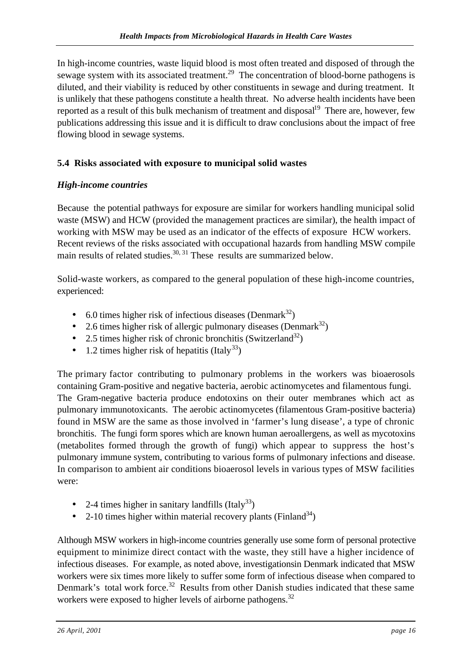In high-income countries, waste liquid blood is most often treated and disposed of through the sewage system with its associated treatment.<sup>29</sup> The concentration of blood-borne pathogens is diluted, and their viability is reduced by other constituents in sewage and during treatment. It is unlikely that these pathogens constitute a health threat. No adverse health incidents have been reported as a result of this bulk mechanism of treatment and disposal<sup>19</sup> There are, however, few publications addressing this issue and it is difficult to draw conclusions about the impact of free flowing blood in sewage systems.

## **5.4 Risks associated with exposure to municipal solid wastes**

## *High-income countries*

Because the potential pathways for exposure are similar for workers handling municipal solid waste (MSW) and HCW (provided the management practices are similar), the health impact of working with MSW may be used as an indicator of the effects of exposure HCW workers. Recent reviews of the risks associated with occupational hazards from handling MSW compile main results of related studies.<sup>30, 31</sup> These results are summarized below.

Solid-waste workers, as compared to the general population of these high-income countries, experienced:

- 6.0 times higher risk of infectious diseases (Denmark $^{32}$ )
- 2.6 times higher risk of allergic pulmonary diseases (Denmark<sup>32</sup>)
- 2.5 times higher risk of chronic bronchitis (Switzerland<sup>32</sup>)
- 1.2 times higher risk of hepatitis (Italy<sup>33</sup>)

The primary factor contributing to pulmonary problems in the workers was bioaerosols containing Gram-positive and negative bacteria, aerobic actinomycetes and filamentous fungi. The Gram-negative bacteria produce endotoxins on their outer membranes which act as pulmonary immunotoxicants. The aerobic actinomycetes (filamentous Gram-positive bacteria) found in MSW are the same as those involved in 'farmer's lung disease', a type of chronic bronchitis. The fungi form spores which are known human aeroallergens, as well as mycotoxins (metabolites formed through the growth of fungi) which appear to suppress the host's pulmonary immune system, contributing to various forms of pulmonary infections and disease. In comparison to ambient air conditions bioaerosol levels in various types of MSW facilities were:

- 2-4 times higher in sanitary landfills  $(Italy<sup>33</sup>)$
- 2-10 times higher within material recovery plants (Finland<sup>34</sup>)

Although MSW workers in high-income countries generally use some form of personal protective equipment to minimize direct contact with the waste, they still have a higher incidence of infectious diseases. For example, as noted above, investigations in Denmark indicated that MSW workers were six times more likely to suffer some form of infectious disease when compared to Denmark's total work force.<sup>32</sup> Results from other Danish studies indicated that these same workers were exposed to higher levels of airborne pathogens.<sup>32</sup>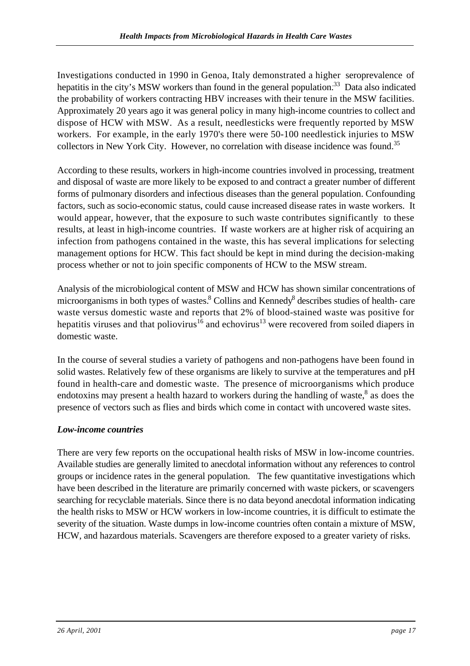Investigations conducted in 1990 in Genoa, Italy demonstrated a higher seroprevalence of hepatitis in the city's MSW workers than found in the general population.<sup>33</sup> Data also indicated the probability of workers contracting HBV increases with their tenure in the MSW facilities. Approximately 20 years ago it was general policy in many high-income countries to collect and dispose of HCW with MSW. As a result, needlesticks were frequently reported by MSW workers. For example, in the early 1970's there were 50-100 needlestick injuries to MSW collectors in New York City. However, no correlation with disease incidence was found.<sup>35</sup>

According to these results, workers in high-income countries involved in processing, treatment and disposal of waste are more likely to be exposed to and contract a greater number of different forms of pulmonary disorders and infectious diseases than the general population. Confounding factors, such as socio-economic status, could cause increased disease rates in waste workers. It would appear, however, that the exposure to such waste contributes significantly to these results, at least in high-income countries. If waste workers are at higher risk of acquiring an infection from pathogens contained in the waste, this has several implications for selecting management options for HCW. This fact should be kept in mind during the decision-making process whether or not to join specific components of HCW to the MSW stream.

Analysis of the microbiological content of MSW and HCW has shown similar concentrations of microorganisms in both types of wastes.<sup>8</sup> Collins and Kennedy<sup>8</sup> describes studies of health- care waste versus domestic waste and reports that 2% of blood-stained waste was positive for hepatitis viruses and that poliovirus<sup>16</sup> and echovirus<sup>13</sup> were recovered from soiled diapers in domestic waste.

In the course of several studies a variety of pathogens and non-pathogens have been found in solid wastes. Relatively few of these organisms are likely to survive at the temperatures and pH found in health-care and domestic waste. The presence of microorganisms which produce endotoxins may present a health hazard to workers during the handling of waste,<sup>8</sup> as does the presence of vectors such as flies and birds which come in contact with uncovered waste sites.

## *Low-income countries*

There are very few reports on the occupational health risks of MSW in low-income countries. Available studies are generally limited to anecdotal information without any references to control groups or incidence rates in the general population. The few quantitative investigations which have been described in the literature are primarily concerned with waste pickers, or scavengers searching for recyclable materials. Since there is no data beyond anecdotal information indicating the health risks to MSW or HCW workers in low-income countries, it is difficult to estimate the severity of the situation. Waste dumps in low-income countries often contain a mixture of MSW, HCW, and hazardous materials. Scavengers are therefore exposed to a greater variety of risks.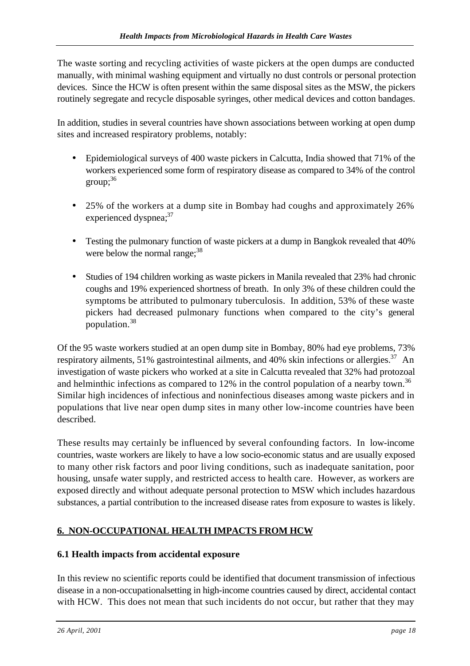The waste sorting and recycling activities of waste pickers at the open dumps are conducted manually, with minimal washing equipment and virtually no dust controls or personal protection devices. Since the HCW is often present within the same disposal sites as the MSW, the pickers routinely segregate and recycle disposable syringes, other medical devices and cotton bandages.

In addition, studies in several countries have shown associations between working at open dump sites and increased respiratory problems, notably:

- Epidemiological surveys of 400 waste pickers in Calcutta, India showed that 71% of the workers experienced some form of respiratory disease as compared to 34% of the control  $\text{group}$ ;  $^{36}$
- 25% of the workers at a dump site in Bombay had coughs and approximately 26% experienced dyspnea;<sup>37</sup>
- Testing the pulmonary function of waste pickers at a dump in Bangkok revealed that 40% were below the normal range; $38$
- Studies of 194 children working as waste pickers in Manila revealed that 23% had chronic coughs and 19% experienced shortness of breath. In only 3% of these children could the symptoms be attributed to pulmonary tuberculosis. In addition, 53% of these waste pickers had decreased pulmonary functions when compared to the city's general population.<sup>38</sup>

Of the 95 waste workers studied at an open dump site in Bombay, 80% had eye problems, 73% respiratory ailments, 51% gastrointestinal ailments, and 40% skin infections or allergies.<sup>37</sup> An investigation of waste pickers who worked at a site in Calcutta revealed that 32% had protozoal and helminthic infections as compared to 12% in the control population of a nearby town.<sup>36</sup> Similar high incidences of infectious and noninfectious diseases among waste pickers and in populations that live near open dump sites in many other low-income countries have been described.

These results may certainly be influenced by several confounding factors. In low-income countries, waste workers are likely to have a low socio-economic status and are usually exposed to many other risk factors and poor living conditions, such as inadequate sanitation, poor housing, unsafe water supply, and restricted access to health care. However, as workers are exposed directly and without adequate personal protection to MSW which includes hazardous substances, a partial contribution to the increased disease rates from exposure to wastes is likely.

# **6. NON-OCCUPATIONAL HEALTH IMPACTS FROM HCW**

## **6.1 Health impacts from accidental exposure**

In this review no scientific reports could be identified that document transmission of infectious disease in a non-occupational setting in high-income countries caused by direct, accidental contact with HCW. This does not mean that such incidents do not occur, but rather that they may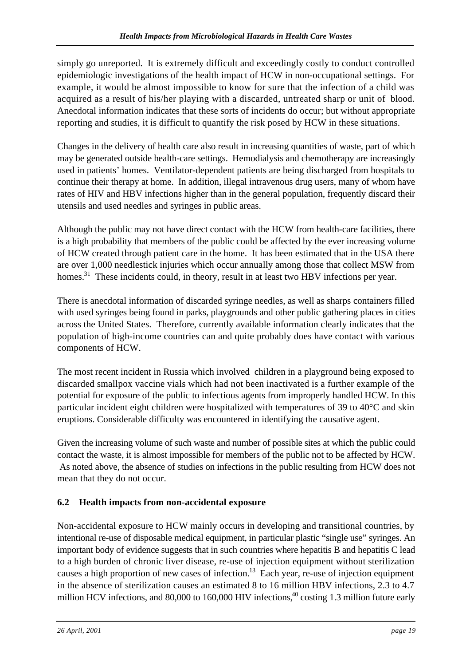simply go unreported. It is extremely difficult and exceedingly costly to conduct controlled epidemiologic investigations of the health impact of HCW in non-occupational settings. For example, it would be almost impossible to know for sure that the infection of a child was acquired as a result of his/her playing with a discarded, untreated sharp or unit of blood. Anecdotal information indicates that these sorts of incidents do occur; but without appropriate reporting and studies, it is difficult to quantify the risk posed by HCW in these situations.

Changes in the delivery of health care also result in increasing quantities of waste, part of which may be generated outside health-care settings. Hemodialysis and chemotherapy are increasingly used in patients' homes. Ventilator-dependent patients are being discharged from hospitals to continue their therapy at home. In addition, illegal intravenous drug users, many of whom have rates of HIV and HBV infections higher than in the general population, frequently discard their utensils and used needles and syringes in public areas.

Although the public may not have direct contact with the HCW from health-care facilities, there is a high probability that members of the public could be affected by the ever increasing volume of HCW created through patient care in the home. It has been estimated that in the USA there are over 1,000 needlestick injuries which occur annually among those that collect MSW from homes.<sup>31</sup> These incidents could, in theory, result in at least two HBV infections per year.

There is anecdotal information of discarded syringe needles, as well as sharps containers filled with used syringes being found in parks, playgrounds and other public gathering places in cities across the United States. Therefore, currently available information clearly indicates that the population of high-income countries can and quite probably does have contact with various components of HCW.

The most recent incident in Russia which involved children in a playground being exposed to discarded smallpox vaccine vials which had not been inactivated is a further example of the potential for exposure of the public to infectious agents from improperly handled HCW. In this particular incident eight children were hospitalized with temperatures of 39 to 40°C and skin eruptions. Considerable difficulty was encountered in identifying the causative agent.

Given the increasing volume of such waste and number of possible sites at which the public could contact the waste, it is almost impossible for members of the public not to be affected by HCW. As noted above, the absence of studies on infections in the public resulting from HCW does not mean that they do not occur.

# **6.2 Health impacts from non-accidental exposure**

Non-accidental exposure to HCW mainly occurs in developing and transitional countries, by intentional re-use of disposable medical equipment, in particular plastic "single use" syringes. An important body of evidence suggests that in such countries where hepatitis B and hepatitis C lead to a high burden of chronic liver disease, re-use of injection equipment without sterilization causes a high proportion of new cases of infection.<sup>13</sup> Each year, re-use of injection equipment in the absence of sterilization causes an estimated 8 to 16 million HBV infections, 2.3 to 4.7 million HCV infections, and 80,000 to 160,000 HIV infections,<sup>40</sup> costing 1.3 million future early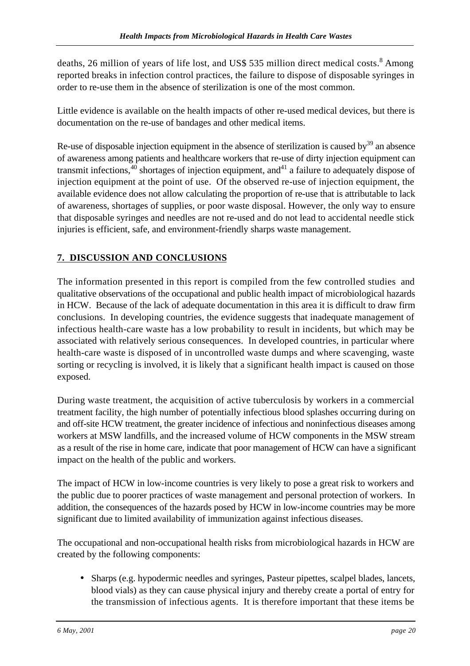deaths, 26 million of years of life lost, and US\$ 535 million direct medical costs.<sup>8</sup> Among reported breaks in infection control practices, the failure to dispose of disposable syringes in order to re-use them in the absence of sterilization is one of the most common.

Little evidence is available on the health impacts of other re-used medical devices, but there is documentation on the re-use of bandages and other medical items.

Re-use of disposable injection equipment in the absence of sterilization is caused by $39$  an absence of awareness among patients and healthcare workers that re-use of dirty injection equipment can transmit infections,  $40$  shortages of injection equipment, and  $41$  a failure to adequately dispose of injection equipment at the point of use. Of the observed re-use of injection equipment, the available evidence does not allow calculating the proportion of re-use that is attributable to lack of awareness, shortages of supplies, or poor waste disposal. However, the only way to ensure that disposable syringes and needles are not re-used and do not lead to accidental needle stick injuries is efficient, safe, and environment-friendly sharps waste management.

# **7. DISCUSSION AND CONCLUSIONS**

The information presented in this report is compiled from the few controlled studies and qualitative observations of the occupational and public health impact of microbiological hazards in HCW. Because of the lack of adequate documentation in this area it is difficult to draw firm conclusions. In developing countries, the evidence suggests that inadequate management of infectious health-care waste has a low probability to result in incidents, but which may be associated with relatively serious consequences. In developed countries, in particular where health-care waste is disposed of in uncontrolled waste dumps and where scavenging, waste sorting or recycling is involved, it is likely that a significant health impact is caused on those exposed.

During waste treatment, the acquisition of active tuberculosis by workers in a commercial treatment facility, the high number of potentially infectious blood splashes occurring during on and off-site HCW treatment, the greater incidence of infectious and noninfectious diseases among workers at MSW landfills, and the increased volume of HCW components in the MSW stream as a result of the rise in home care, indicate that poor management of HCW can have a significant impact on the health of the public and workers.

The impact of HCW in low-income countries is very likely to pose a great risk to workers and the public due to poorer practices of waste management and personal protection of workers. In addition, the consequences of the hazards posed by HCW in low-income countries may be more significant due to limited availability of immunization against infectious diseases.

The occupational and non-occupational health risks from microbiological hazards in HCW are created by the following components:

• Sharps (e.g. hypodermic needles and syringes, Pasteur pipettes, scalpel blades, lancets, blood vials) as they can cause physical injury and thereby create a portal of entry for the transmission of infectious agents. It is therefore important that these items be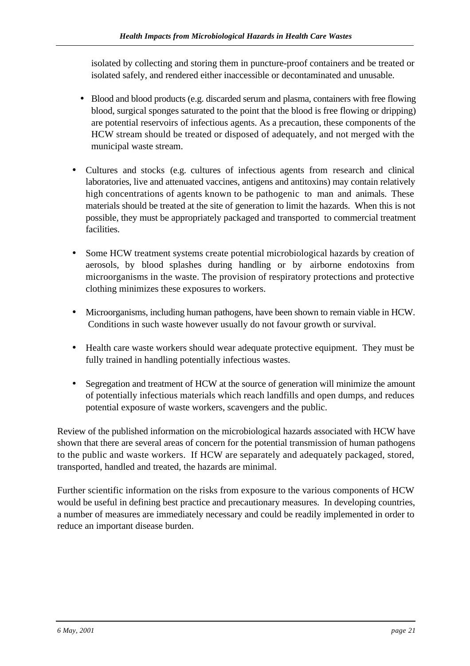isolated by collecting and storing them in puncture-proof containers and be treated or isolated safely, and rendered either inaccessible or decontaminated and unusable.

- Blood and blood products (e.g. discarded serum and plasma, containers with free flowing blood, surgical sponges saturated to the point that the blood is free flowing or dripping) are potential reservoirs of infectious agents. As a precaution, these components of the HCW stream should be treated or disposed of adequately, and not merged with the municipal waste stream.
- Cultures and stocks (e.g. cultures of infectious agents from research and clinical laboratories, live and attenuated vaccines, antigens and antitoxins) may contain relatively high concentrations of agents known to be pathogenic to man and animals. These materials should be treated at the site of generation to limit the hazards. When this is not possible, they must be appropriately packaged and transported to commercial treatment facilities.
- Some HCW treatment systems create potential microbiological hazards by creation of aerosols, by blood splashes during handling or by airborne endotoxins from microorganisms in the waste. The provision of respiratory protections and protective clothing minimizes these exposures to workers.
- Microorganisms, including human pathogens, have been shown to remain viable in HCW. Conditions in such waste however usually do not favour growth or survival.
- Health care waste workers should wear adequate protective equipment. They must be fully trained in handling potentially infectious wastes.
- Segregation and treatment of HCW at the source of generation will minimize the amount of potentially infectious materials which reach landfills and open dumps, and reduces potential exposure of waste workers, scavengers and the public.

Review of the published information on the microbiological hazards associated with HCW have shown that there are several areas of concern for the potential transmission of human pathogens to the public and waste workers. If HCW are separately and adequately packaged, stored, transported, handled and treated, the hazards are minimal.

Further scientific information on the risks from exposure to the various components of HCW would be useful in defining best practice and precautionary measures. In developing countries, a number of measures are immediately necessary and could be readily implemented in order to reduce an important disease burden.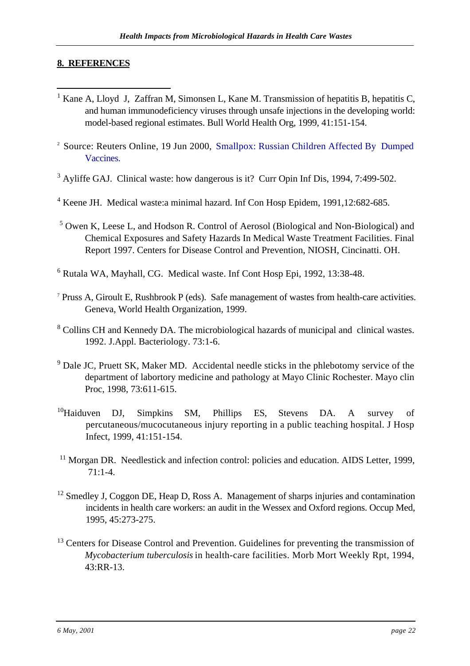#### **8. REFERENCES**

j

- <sup>1</sup> Kane A, Lloyd J, Zaffran M, Simonsen L, Kane M. Transmission of hepatitis B, hepatitis C, and human immunodeficiency viruses through unsafe injections in the developing world: model-based regional estimates. Bull World Health Org, 1999, 41:151-154.
- <sup>2</sup> Source: Reuters Online, 19 Jun 2000, Smallpox: Russian Children Affected By Dumped Vaccines.
- $3$  Ayliffe GAJ. Clinical waste: how dangerous is it? Curr Opin Inf Dis, 1994, 7:499-502.
- <sup>4</sup> Keene JH. Medical waste:a minimal hazard. Inf Con Hosp Epidem, 1991,12:682-685.
- <sup>5</sup> Owen K, Leese L, and Hodson R. Control of Aerosol (Biological and Non-Biological) and Chemical Exposures and Safety Hazards In Medical Waste Treatment Facilities. Final Report 1997. Centers for Disease Control and Prevention, NIOSH, Cincinatti. OH.
- 6 Rutala WA, Mayhall, CG. Medical waste. Inf Cont Hosp Epi, 1992, 13:38-48.
- $7$  Pruss A, Giroult E, Rushbrook P (eds). Safe management of wastes from health-care activities. Geneva, World Health Organization, 1999.
- <sup>8</sup> Collins CH and Kennedy DA. The microbiological hazards of municipal and clinical wastes. 1992. J.Appl. Bacteriology. 73:1-6.
- <sup>9</sup> Dale JC, Pruett SK, Maker MD. Accidental needle sticks in the phlebotomy service of the department of labortory medicine and pathology at Mayo Clinic Rochester. Mayo clin Proc, 1998, 73:611-615.
- <sup>10</sup>Haiduven DJ, Simpkins SM, Phillips ES, Stevens DA. A survey of percutaneous/mucocutaneous injury reporting in a public teaching hospital. J Hosp Infect, 1999, 41:151-154.
- <sup>11</sup> Morgan DR. Needlestick and infection control: policies and education. AIDS Letter, 1999, 71:1-4.
- $12$  Smedley J, Coggon DE, Heap D, Ross A. Management of sharps injuries and contamination incidents in health care workers: an audit in the Wessex and Oxford regions. Occup Med, 1995, 45:273-275.
- <sup>13</sup> Centers for Disease Control and Prevention. Guidelines for preventing the transmission of *Mycobacterium tuberculosis* in health-care facilities. Morb Mort Weekly Rpt, 1994, 43:RR-13.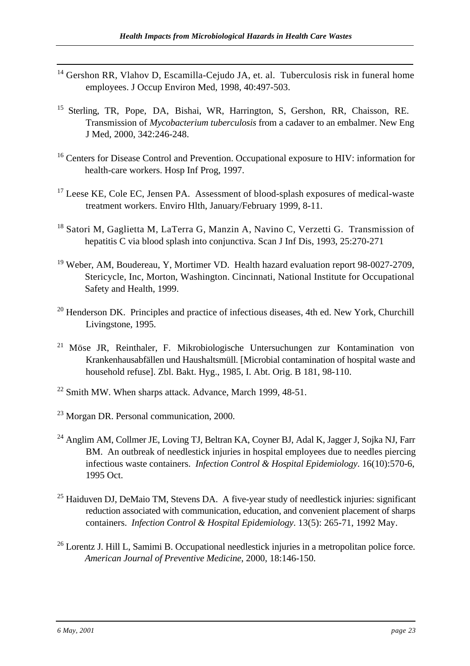- <sup>14</sup> Gershon RR, Vlahov D, Escamilla-Cejudo JA, et. al. Tuberculosis risk in funeral home employees. J Occup Environ Med, 1998, 40:497-503.
- <sup>15</sup> Sterling, TR, Pope, DA, Bishai, WR, Harrington, S, Gershon, RR, Chaisson, RE. Transmission of *Mycobacterium tuberculosis* from a cadaver to an embalmer. New Eng J Med, 2000, 342:246-248.
- <sup>16</sup> Centers for Disease Control and Prevention. Occupational exposure to HIV: information for health-care workers. Hosp Inf Prog, 1997.
- <sup>17</sup> Leese KE, Cole EC, Jensen PA. Assessment of blood-splash exposures of medical-waste treatment workers. Enviro Hlth, January/February 1999, 8-11.
- <sup>18</sup> Satori M, Gaglietta M, LaTerra G, Manzin A, Navino C, Verzetti G. Transmission of hepatitis C via blood splash into conjunctiva. Scan J Inf Dis, 1993, 25:270-271
- <sup>19</sup> Weber, AM, Boudereau, Y, Mortimer VD. Health hazard evaluation report 98-0027-2709, Stericycle, Inc, Morton, Washington. Cincinnati, National Institute for Occupational Safety and Health, 1999.
- <sup>20</sup> Henderson DK. Principles and practice of infectious diseases, 4th ed. New York, Churchill Livingstone, 1995.
- <sup>21</sup> Möse JR, Reinthaler, F. Mikrobiologische Untersuchungen zur Kontamination von Krankenhausabfällen und Haushaltsmüll. [Microbial contamination of hospital waste and household refuse]. Zbl. Bakt. Hyg., 1985, I. Abt. Orig. B 181, 98-110.
- $22$  Smith MW. When sharps attack. Advance, March 1999, 48-51.
- <sup>23</sup> Morgan DR. Personal communication, 2000.
- <sup>24</sup> Anglim AM, Collmer JE, Loving TJ, Beltran KA, Coyner BJ, Adal K, Jagger J, Sojka NJ, Farr BM. An outbreak of needlestick injuries in hospital employees due to needles piercing infectious waste containers. *Infection Control & Hospital Epidemiology*. 16(10):570-6, 1995 Oct.
- $25$  Haiduven DJ, DeMaio TM, Stevens DA. A five-year study of needlestick injuries: significant reduction associated with communication, education, and convenient placement of sharps containers. *Infection Control & Hospital Epidemiology*. 13(5): 265-71, 1992 May.
- <sup>26</sup> Lorentz J. Hill L, Samimi B. Occupational needlestick injuries in a metropolitan police force. *American Journal of Preventive Medicine*, 2000, 18:146-150.

j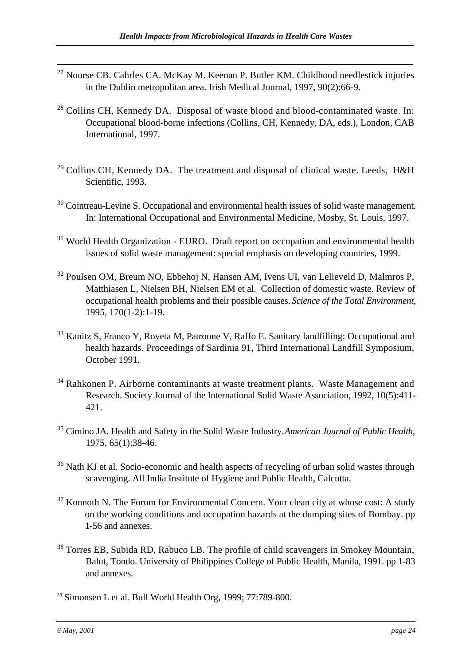- <sup>27</sup> Nourse CB. Cahrles CA. McKay M. Keenan P. Butler KM. Childhood needlestick injuries in the Dublin metropolitan area. Irish Medical Journal, 1997, 90(2):66-9.
- <sup>28</sup> Collins CH, Kennedy DA. Disposal of waste blood and blood-contaminated waste. In: Occupational blood-borne infections (Collins, CH, Kennedy, DA, eds.), London, CAB International, 1997.
- $29$  Collins CH, Kennedy DA. The treatment and disposal of clinical waste. Leeds, H&H Scientific, 1993.
- <sup>30</sup> Cointreau-Levine S. Occupational and environmental health issues of solid waste management. In: International Occupational and Environmental Medicine, Mosby, St. Louis, 1997.
- <sup>31</sup> World Health Organization EURO. Draft report on occupation and environmental health issues of solid waste management: special emphasis on developing countries, 1999.
- <sup>32</sup> Poulsen OM, Breum NO, Ebbehoj N, Hansen AM, Ivens UI, van Lelieveld D, Malmros P, Matthiasen L, Nielsen BH, Nielsen EM et al. Collection of domestic waste. Review of occupational health problems and their possible causes. *Science of the Total Environment,* 1995*,* 170(1-2):1-19.
- <sup>33</sup> Kanitz S, Franco Y, Roveta M, Patroone V, Raffo E. Sanitary landfilling: Occupational and health hazards. Proceedings of Sardinia 91, Third International Landfill Symposium, October 1991.
- <sup>34</sup> Rahkonen P. Airborne contaminants at waste treatment plants. Waste Management and Research. Society Journal of the International Solid Waste Association, 1992, 10(5):411- 421.
- <sup>35</sup> Cimino JA. Health and Safety in the Solid Waste Industry. *American Journal of Public Health*, 1975, 65(1):38-46.
- <sup>36</sup> Nath KJ et al. Socio-economic and health aspects of recycling of urban solid wastes through scavenging. All India Institute of Hygiene and Public Health, Calcutta.
- $37$  Konnoth N. The Forum for Environmental Concern. Your clean city at whose cost: A study on the working conditions and occupation hazards at the dumping sites of Bombay. pp 1-56 and annexes.
- <sup>38</sup> Torres EB, Subida RD, Rabuco LB. The profile of child scavengers in Smokey Mountain, Balut, Tondo. University of Philippines College of Public Health, Manila, 1991. pp 1-83 and annexes.
- <sup>39</sup> Simonsen L et al. Bull World Health Org, 1999; 77:789-800.

j